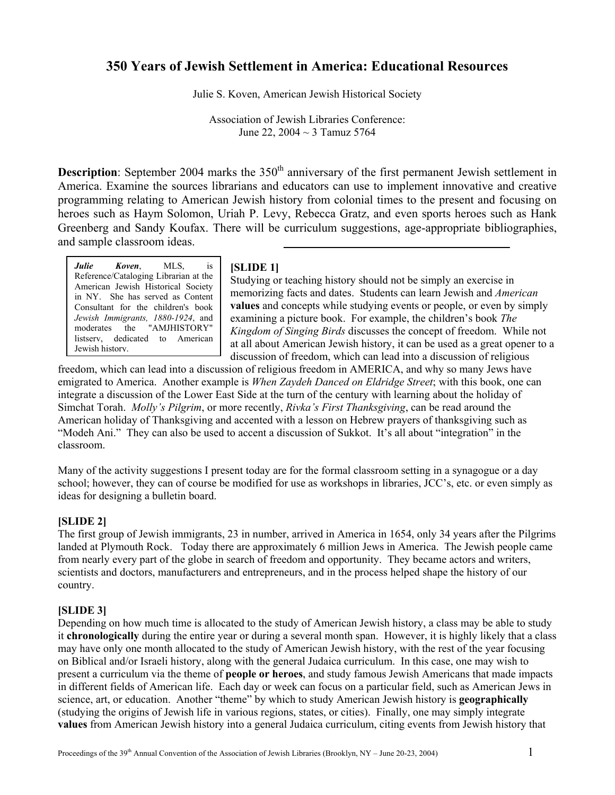# **350 Years of Jewish Settlement in America: Educational Resources**

Julie S. Koven, American Jewish Historical Society

Association of Jewish Libraries Conference: June 22,  $2004 \sim 3$  Tamuz 5764

**Description**: September 2004 marks the 350<sup>th</sup> anniversary of the first permanent Jewish settlement in America. Examine the sources librarians and educators can use to implement innovative and creative programming relating to American Jewish history from colonial times to the present and focusing on heroes such as Haym Solomon, Uriah P. Levy, Rebecca Gratz, and even sports heroes such as Hank Greenberg and Sandy Koufax. There will be curriculum suggestions, age-appropriate bibliographies, and sample classroom ideas.

*Julie Koven*, MLS, is Reference/Cataloging Librarian at the American Jewish Historical Society in NY. She has served as Content Consultant for the children's book *Jewish Immigrants, 1880-1924*, and moderates the "AMJHISTORY" listserv, dedicated to American Jewish history.

### **[SLIDE 1]**

Studying or teaching history should not be simply an exercise in memorizing facts and dates. Students can learn Jewish and *American* **values** and concepts while studying events or people, or even by simply examining a picture book. For example, the children's book *The Kingdom of Singing Birds* discusses the concept of freedom. While not at all about American Jewish history, it can be used as a great opener to a discussion of freedom, which can lead into a discussion of religious

freedom, which can lead into a discussion of religious freedom in AMERICA, and why so many Jews have emigrated to America. Another example is *When Zaydeh Danced on Eldridge Street*; with this book, one can integrate a discussion of the Lower East Side at the turn of the century with learning about the holiday of Simchat Torah. *Molly's Pilgrim*, or more recently, *Rivka's First Thanksgiving*, can be read around the American holiday of Thanksgiving and accented with a lesson on Hebrew prayers of thanksgiving such as "Modeh Ani." They can also be used to accent a discussion of Sukkot. It's all about "integration" in the classroom.

Many of the activity suggestions I present today are for the formal classroom setting in a synagogue or a day school; however, they can of course be modified for use as workshops in libraries, JCC's, etc. or even simply as ideas for designing a bulletin board.

### **[SLIDE 2]**

The first group of Jewish immigrants, 23 in number, arrived in America in 1654, only 34 years after the Pilgrims landed at Plymouth Rock. Today there are approximately 6 million Jews in America. The Jewish people came from nearly every part of the globe in search of freedom and opportunity. They became actors and writers, scientists and doctors, manufacturers and entrepreneurs, and in the process helped shape the history of our country.

### **[SLIDE 3]**

Depending on how much time is allocated to the study of American Jewish history, a class may be able to study it **chronologically** during the entire year or during a several month span. However, it is highly likely that a class may have only one month allocated to the study of American Jewish history, with the rest of the year focusing on Biblical and/or Israeli history, along with the general Judaica curriculum. In this case, one may wish to present a curriculum via the theme of **people or heroes**, and study famous Jewish Americans that made impacts in different fields of American life. Each day or week can focus on a particular field, such as American Jews in science, art, or education. Another "theme" by which to study American Jewish history is **geographically** (studying the origins of Jewish life in various regions, states, or cities). Finally, one may simply integrate **values** from American Jewish history into a general Judaica curriculum, citing events from Jewish history that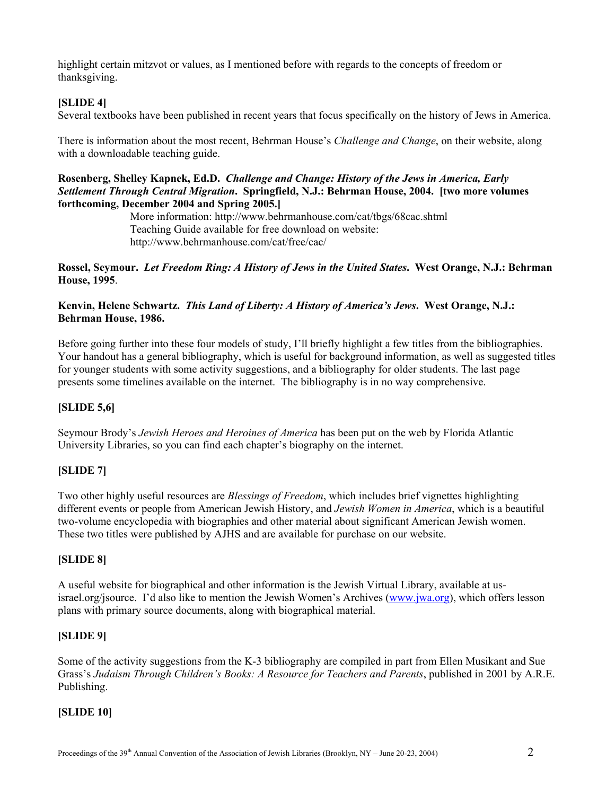highlight certain mitzvot or values, as I mentioned before with regards to the concepts of freedom or thanksgiving.

# **[SLIDE 4]**

Several textbooks have been published in recent years that focus specifically on the history of Jews in America.

There is information about the most recent, Behrman House's *Challenge and Change*, on their website, along with a downloadable teaching guide.

### **Rosenberg, Shelley Kapnek, Ed.D.** *Challenge and Change: History of the Jews in America, Early Settlement Through Central Migration***. Springfield, N.J.: Behrman House, 2004. [two more volumes forthcoming, December 2004 and Spring 2005.]**

More information: http://www.behrmanhouse.com/cat/tbgs/68cac.shtml Teaching Guide available for free download on website: <http://www.behrmanhouse.com/cat/free/cac/>

### **Rossel, Seymour.** *Let Freedom Ring: A History of Jews in the United States***. West Orange, N.J.: Behrman House, 1995**.

## **Kenvin, Helene Schwartz.** *This Land of Liberty: A History of America's Jews***. West Orange, N.J.: Behrman House, 1986.**

Before going further into these four models of study, I'll briefly highlight a few titles from the bibliographies. Your handout has a general bibliography, which is useful for background information, as well as suggested titles for younger students with some activity suggestions, and a bibliography for older students. The last page presents some timelines available on the internet. The bibliography is in no way comprehensive.

# **[SLIDE 5,6]**

Seymour Brody's *Jewish Heroes and Heroines of America* has been put on the web by Florida Atlantic University Libraries, so you can find each chapter's biography on the internet.

# **[SLIDE 7]**

Two other highly useful resources are *Blessings of Freedom*, which includes brief vignettes highlighting different events or people from American Jewish History, and *Jewish Women in America*, which is a beautiful two-volume encyclopedia with biographies and other material about significant American Jewish women. These two titles were published by AJHS and are available for purchase on our website.

# **[SLIDE 8]**

A useful website for biographical and other information is the Jewish Virtual Library, available at usisrael.org/jsource. I'd also like to mention the Jewish Women's Archives ([www.jwa.org\)](http://www.jwa.org/), which offers lesson plans with primary source documents, along with biographical material.

# **[SLIDE 9]**

Some of the activity suggestions from the K-3 bibliography are compiled in part from Ellen Musikant and Sue Grass's *Judaism Through Children's Books: A Resource for Teachers and Parents*, published in 2001 by A.R.E. Publishing.

# **[SLIDE 10]**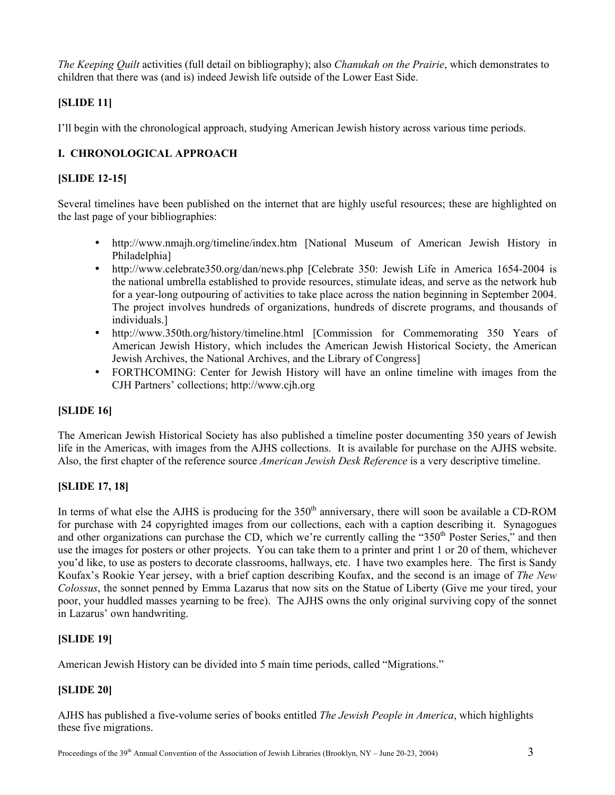*The Keeping Quilt* activities (full detail on bibliography); also *Chanukah on the Prairie*, which demonstrates to children that there was (and is) indeed Jewish life outside of the Lower East Side.

# **[SLIDE 11]**

I'll begin with the chronological approach, studying American Jewish history across various time periods.

# **I. CHRONOLOGICAL APPROACH**

# **[SLIDE 12-15]**

Several timelines have been published on the internet that are highly useful resources; these are highlighted on the last page of your bibliographies:

- <http://www.nmajh.org/timeline/index.htm> [National Museum of American Jewish History in Philadelphia]
- <http://www.celebrate350.org/dan/news.php> [Celebrate 350: Jewish Life in America 1654-2004 is the national umbrella established to provide resources, stimulate ideas, and serve as the network hub for a year-long outpouring of activities to take place across the nation beginning in September 2004. The project involves hundreds of organizations, hundreds of discrete programs, and thousands of individuals.]
- <http://www.350th.org/history/timeline.html> [Commission for Commemorating 350 Years of American Jewish History, which includes the American Jewish Historical Society, the American Jewish Archives, the National Archives, and the Library of Congress]
- FORTHCOMING: Center for Jewish History will have an online timeline with images from the CJH Partners' collections; http://www.cjh.org

# **[SLIDE 16]**

The American Jewish Historical Society has also published a timeline poster documenting 350 years of Jewish life in the Americas, with images from the AJHS collections. It is available for purchase on the AJHS website. Also, the first chapter of the reference source *American Jewish Desk Reference* is a very descriptive timeline.

# **[SLIDE 17, 18]**

In terms of what else the AJHS is producing for the 350<sup>th</sup> anniversary, there will soon be available a CD-ROM for purchase with 24 copyrighted images from our collections, each with a caption describing it. Synagogues and other organizations can purchase the CD, which we're currently calling the "350<sup>th</sup> Poster Series," and then use the images for posters or other projects. You can take them to a printer and print 1 or 20 of them, whichever you'd like, to use as posters to decorate classrooms, hallways, etc. I have two examples here. The first is Sandy Koufax's Rookie Year jersey, with a brief caption describing Koufax, and the second is an image of *The New Colossus*, the sonnet penned by Emma Lazarus that now sits on the Statue of Liberty (Give me your tired, your poor, your huddled masses yearning to be free). The AJHS owns the only original surviving copy of the sonnet in Lazarus' own handwriting.

# **[SLIDE 19]**

American Jewish History can be divided into 5 main time periods, called "Migrations."

# **[SLIDE 20]**

AJHS has published a five-volume series of books entitled *The Jewish People in America*, which highlights these five migrations.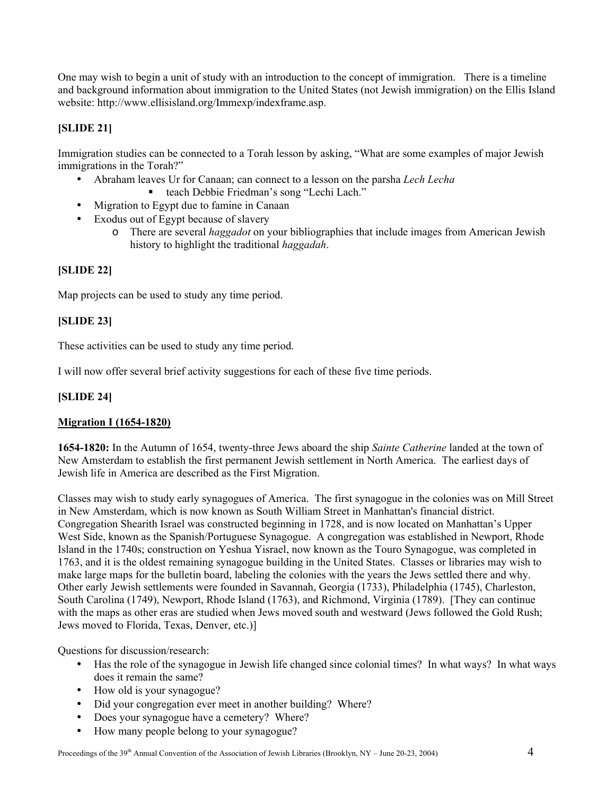One may wish to begin a unit of study with an introduction to the concept of immigration. There is a timeline and background information about immigration to the United States (not Jewish immigration) on the Ellis Island website: <http://www.ellisisland.org/Immexp/indexframe.asp>.

# **[SLIDE 21]**

Immigration studies can be connected to a Torah lesson by asking, "What are some examples of major Jewish immigrations in the Torah?"

- Abraham leaves Ur for Canaan; can connect to a lesson on the parsha *Lech Lecha*
	- teach Debbie Friedman's song "Lechi Lach."
- Migration to Egypt due to famine in Canaan
- Exodus out of Egypt because of slavery
	- o There are several *haggadot* on your bibliographies that include images from American Jewish history to highlight the traditional *haggadah*.

# **[SLIDE 22]**

Map projects can be used to study any time period.

# **[SLIDE 23]**

These activities can be used to study any time period.

I will now offer several brief activity suggestions for each of these five time periods.

## **[SLIDE 24]**

# **Migration I (1654-1820)**

**1654-1820:** In the Autumn of 1654, twenty-three Jews aboard the ship *Sainte Catherine* landed at the town of New Amsterdam to establish the first permanent Jewish settlement in North America. The earliest days of Jewish life in America are described as the First Migration.

Classes may wish to study early synagogues of America. The first synagogue in the colonies was on Mill Street in New Amsterdam, which is now known as South William Street in Manhattan's financial district. Congregation Shearith Israel was constructed beginning in 1728, and is now located on Manhattan's Upper West Side, known as the Spanish/Portuguese Synagogue. A congregation was established in Newport, Rhode Island in the 1740s; construction on Yeshua Yisrael, now known as the Touro Synagogue, was completed in 1763, and it is the oldest remaining synagogue building in the United States. Classes or libraries may wish to make large maps for the bulletin board, labeling the colonies with the years the Jews settled there and why. Other early Jewish settlements were founded in Savannah, Georgia (1733), Philadelphia (1745), Charleston, South Carolina (1749), Newport, Rhode Island (1763), and Richmond, Virginia (1789). [They can continue with the maps as other eras are studied when Jews moved south and westward (Jews followed the Gold Rush; Jews moved to Florida, Texas, Denver, etc.)]

Questions for discussion/research:

- Has the role of the synagogue in Jewish life changed since colonial times? In what ways? In what ways does it remain the same?
- How old is your synagogue?
- Did your congregation ever meet in another building? Where?
- Does your synagogue have a cemetery? Where?
- How many people belong to your synagogue?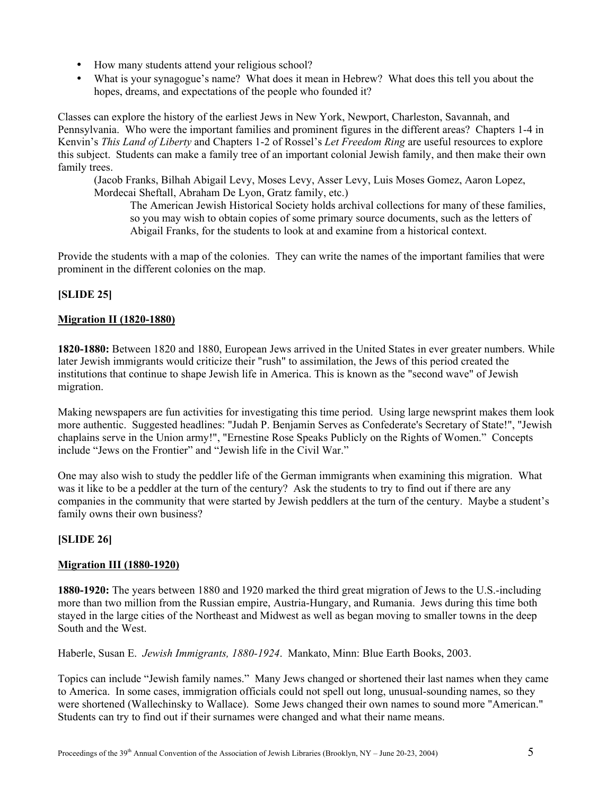- How many students attend your religious school?
- What is your synagogue's name? What does it mean in Hebrew? What does this tell you about the hopes, dreams, and expectations of the people who founded it?

Classes can explore the history of the earliest Jews in New York, Newport, Charleston, Savannah, and Pennsylvania. Who were the important families and prominent figures in the different areas? Chapters 1-4 in Kenvin's *This Land of Liberty* and Chapters 1-2 of Rossel's *Let Freedom Ring* are useful resources to explore this subject. Students can make a family tree of an important colonial Jewish family, and then make their own family trees.

(Jacob Franks, Bilhah Abigail Levy, Moses Levy, Asser Levy, Luis Moses Gomez, Aaron Lopez, Mordecai Sheftall, Abraham De Lyon, Gratz family, etc.)

The American Jewish Historical Society holds archival collections for many of these families, so you may wish to obtain copies of some primary source documents, such as the letters of Abigail Franks, for the students to look at and examine from a historical context.

Provide the students with a map of the colonies. They can write the names of the important families that were prominent in the different colonies on the map.

# **[SLIDE 25]**

### **Migration II (1820-1880)**

**1820-1880:** Between 1820 and 1880, European Jews arrived in the United States in ever greater numbers. While later Jewish immigrants would criticize their "rush" to assimilation, the Jews of this period created the institutions that continue to shape Jewish life in America. This is known as the "second wave" of Jewish migration.

Making newspapers are fun activities for investigating this time period. Using large newsprint makes them look more authentic. Suggested headlines: "Judah P. Benjamin Serves as Confederate's Secretary of State!", "Jewish chaplains serve in the Union army!", "Ernestine Rose Speaks Publicly on the Rights of Women." Concepts include "Jews on the Frontier" and "Jewish life in the Civil War."

One may also wish to study the peddler life of the German immigrants when examining this migration. What was it like to be a peddler at the turn of the century? Ask the students to try to find out if there are any companies in the community that were started by Jewish peddlers at the turn of the century. Maybe a student's family owns their own business?

### **[SLIDE 26]**

### **Migration III (1880-1920)**

**1880-1920:** The years between 1880 and 1920 marked the third great migration of Jews to the U.S.-including more than two million from the Russian empire, Austria-Hungary, and Rumania. Jews during this time both stayed in the large cities of the Northeast and Midwest as well as began moving to smaller towns in the deep South and the West.

Haberle, Susan E. *Jewish Immigrants, 1880-1924*. Mankato, Minn: Blue Earth Books, 2003.

Topics can include "Jewish family names." Many Jews changed or shortened their last names when they came to America. In some cases, immigration officials could not spell out long, unusual-sounding names, so they were shortened (Wallechinsky to Wallace). Some Jews changed their own names to sound more "American." Students can try to find out if their surnames were changed and what their name means.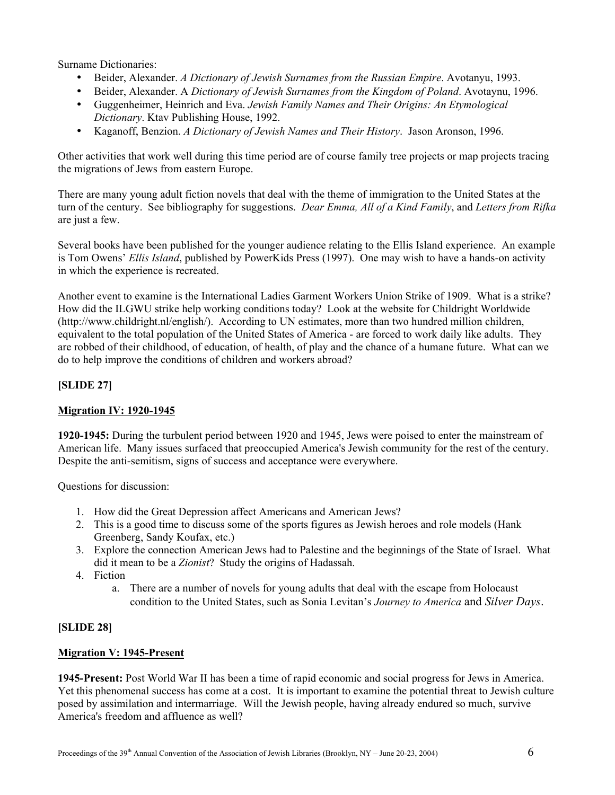Surname Dictionaries:

- Beider, Alexander. *A Dictionary of Jewish Surnames from the Russian Empire*. Avotanyu, 1993.
- Beider, Alexander. A *Dictionary of Jewish Surnames from the Kingdom of Poland*. Avotaynu, 1996.
- Guggenheimer, Heinrich and Eva. *Jewish Family Names and Their Origins: An Etymological Dictionary*. Ktav Publishing House, 1992.
- Kaganoff, Benzion. *A Dictionary of Jewish Names and Their History*. Jason Aronson, 1996.

Other activities that work well during this time period are of course family tree projects or map projects tracing the migrations of Jews from eastern Europe.

There are many young adult fiction novels that deal with the theme of immigration to the United States at the turn of the century. See bibliography for suggestions. *Dear Emma, All of a Kind Family*, and *Letters from Rifka* are just a few.

Several books have been published for the younger audience relating to the Ellis Island experience. An example is Tom Owens' *Ellis Island*, published by PowerKids Press (1997). One may wish to have a hands-on activity in which the experience is recreated.

Another event to examine is the International Ladies Garment Workers Union Strike of 1909. What is a strike? How did the ILGWU strike help working conditions today? Look at the website for Childright Worldwide [\(http://www.childright.nl/english/](http://www.childright.nl/english/)). According to UN estimates, more than two hundred million children, equivalent to the total population of the United States of America - are forced to work daily like adults. They are robbed of their childhood, of education, of health, of play and the chance of a humane future. What can we do to help improve the conditions of children and workers abroad?

# **[SLIDE 27]**

### **Migration IV: 1920-1945**

**1920-1945:** During the turbulent period between 1920 and 1945, Jews were poised to enter the mainstream of American life. Many issues surfaced that preoccupied America's Jewish community for the rest of the century. Despite the anti-semitism, signs of success and acceptance were everywhere.

Questions for discussion:

- 1. How did the Great Depression affect Americans and American Jews?
- 2. This is a good time to discuss some of the sports figures as Jewish heroes and role models (Hank Greenberg, Sandy Koufax, etc.)
- 3. Explore the connection American Jews had to Palestine and the beginnings of the State of Israel. What did it mean to be a *Zionist*? Study the origins of Hadassah.
- 4. Fiction
	- a. There are a number of novels for young adults that deal with the escape from Holocaust condition to the United States, such as Sonia Levitan's *Journey to America* and *Silver Days*.

### **[SLIDE 28]**

### **Migration V: 1945-Present**

**1945-Present:** Post World War II has been a time of rapid economic and social progress for Jews in America. Yet this phenomenal success has come at a cost. It is important to examine the potential threat to Jewish culture posed by assimilation and intermarriage. Will the Jewish people, having already endured so much, survive America's freedom and affluence as well?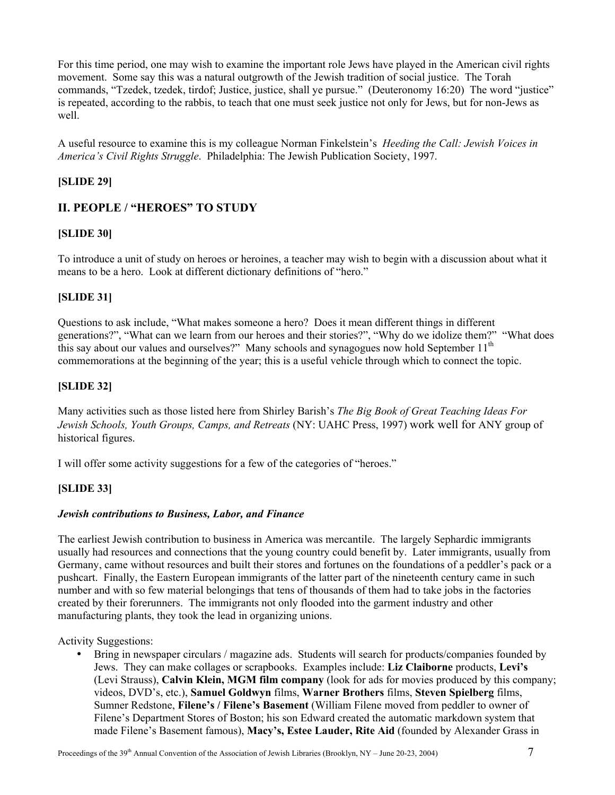For this time period, one may wish to examine the important role Jews have played in the American civil rights movement. Some say this was a natural outgrowth of the Jewish tradition of social justice. The Torah commands, "Tzedek, tzedek, tirdof; Justice, justice, shall ye pursue." (Deuteronomy 16:20) The word "justice" is repeated, according to the rabbis, to teach that one must seek justice not only for Jews, but for non-Jews as well.

A useful resource to examine this is my colleague Norman Finkelstein's *Heeding the Call: Jewish Voices in America's Civil Rights Struggle*. Philadelphia: The Jewish Publication Society, 1997.

## **[SLIDE 29]**

# **II. PEOPLE / "HEROES" TO STUDY**

### **[SLIDE 30]**

To introduce a unit of study on heroes or heroines, a teacher may wish to begin with a discussion about what it means to be a hero. Look at different dictionary definitions of "hero."

### **[SLIDE 31]**

Questions to ask include, "What makes someone a hero? Does it mean different things in different generations?", "What can we learn from our heroes and their stories?", "Why do we idolize them?" "What does this say about our values and ourselves?" Many schools and synagogues now hold September 11<sup>th</sup> commemorations at the beginning of the year; this is a useful vehicle through which to connect the topic.

### **[SLIDE 32]**

Many activities such as those listed here from Shirley Barish's *The Big Book of Great Teaching Ideas For Jewish Schools, Youth Groups, Camps, and Retreats* (NY: UAHC Press, 1997) work well for ANY group of historical figures.

I will offer some activity suggestions for a few of the categories of "heroes."

### **[SLIDE 33]**

### *Jewish contributions to Business, Labor, and Finance*

The earliest Jewish contribution to business in America was mercantile. The largely Sephardic immigrants usually had resources and connections that the young country could benefit by. Later immigrants, usually from Germany, came without resources and built their stores and fortunes on the foundations of a peddler's pack or a pushcart. Finally, the Eastern European immigrants of the latter part of the nineteenth century came in such number and with so few material belongings that tens of thousands of them had to take jobs in the factories created by their forerunners. The immigrants not only flooded into the garment industry and other manufacturing plants, they took the lead in organizing unions.

Activity Suggestions:

• Bring in newspaper circulars / magazine ads. Students will search for products/companies founded by Jews. They can make collages or scrapbooks. Examples include: **Liz Claiborne** products, **Levi's** (Levi Strauss), **Calvin Klein, MGM film company** (look for ads for movies produced by this company; videos, DVD's, etc.), **Samuel Goldwyn** films, **Warner Brothers** films, **Steven Spielberg** films, Sumner Redstone, **Filene's / Filene's Basement** (William Filene moved from peddler to owner of Filene's Department Stores of Boston; his son Edward created the automatic markdown system that made Filene's Basement famous), **Macy's, Estee Lauder, Rite Aid** (founded by Alexander Grass in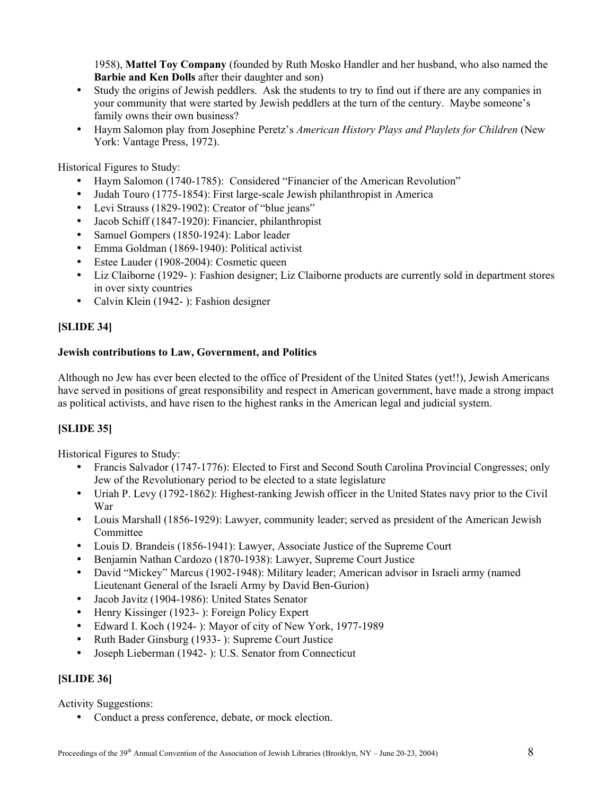1958), **Mattel Toy Company** (founded by Ruth Mosko Handler and her husband, who also named the **Barbie and Ken Dolls** after their daughter and son)

- Study the origins of Jewish peddlers. Ask the students to try to find out if there are any companies in your community that were started by Jewish peddlers at the turn of the century. Maybe someone's family owns their own business?
- Haym Salomon play from Josephine Peretz's *American History Plays and Playlets for Children* (New York: Vantage Press, 1972).

Historical Figures to Study:

- Haym Salomon (1740-1785): Considered "Financier of the American Revolution"
- Judah Touro (1775-1854): First large-scale Jewish philanthropist in America
- Levi Strauss (1829-1902): Creator of "blue jeans"
- Jacob Schiff (1847-1920): Financier, philanthropist
- Samuel Gompers (1850-1924): Labor leader
- Emma Goldman (1869-1940): Political activist
- Estee Lauder (1908-2004): Cosmetic queen
- Liz Claiborne (1929-): Fashion designer; Liz Claiborne products are currently sold in department stores in over sixty countries
- Calvin Klein (1942- ): Fashion designer

# **[SLIDE 34]**

### **Jewish contributions to Law, Government, and Politics**

Although no Jew has ever been elected to the office of President of the United States (yet!!), Jewish Americans have served in positions of great responsibility and respect in American government, have made a strong impact as political activists, and have risen to the highest ranks in the American legal and judicial system.

# **[SLIDE 35]**

Historical Figures to Study:

- Francis Salvador (1747-1776): Elected to First and Second South Carolina Provincial Congresses; only Jew of the Revolutionary period to be elected to a state legislature
- Uriah P. Levy (1792-1862): Highest-ranking Jewish officer in the United States navy prior to the Civil War
- Louis Marshall (1856-1929): Lawyer, community leader; served as president of the American Jewish Committee
- Louis D. Brandeis (1856-1941): Lawyer, Associate Justice of the Supreme Court
- Benjamin Nathan Cardozo (1870-1938): Lawyer, Supreme Court Justice
- David "Mickey" Marcus (1902-1948): Military leader; American advisor in Israeli army (named Lieutenant General of the Israeli Army by David Ben-Gurion)
- Jacob Javitz (1904-1986): United States Senator
- Henry Kissinger (1923- ): Foreign Policy Expert
- Edward I. Koch (1924- ): Mayor of city of New York, 1977-1989
- Ruth Bader Ginsburg (1933- ): Supreme Court Justice
- Joseph Lieberman (1942- ): U.S. Senator from Connecticut

### **[SLIDE 36]**

Activity Suggestions:

• Conduct a press conference, debate, or mock election.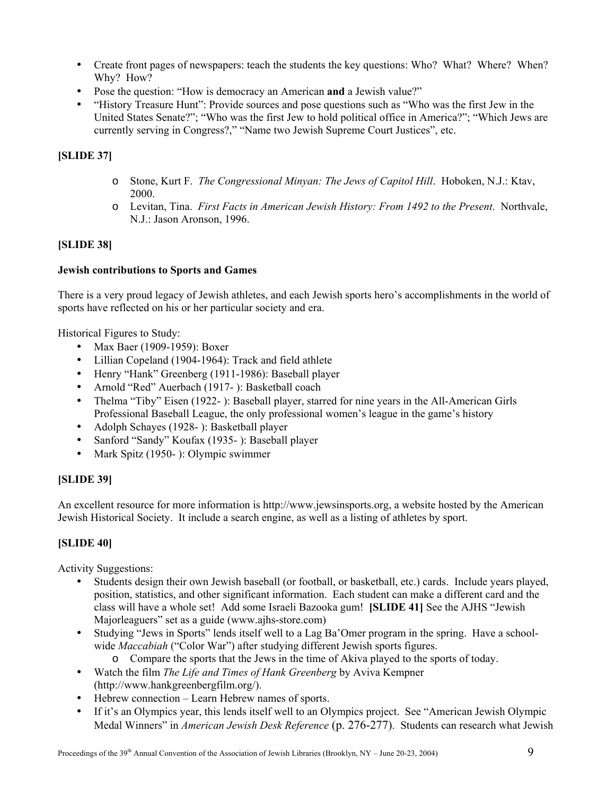- Create front pages of newspapers: teach the students the key questions: Who? What? Where? When? Why? How?
- Pose the question: "How is democracy an American **and** a Jewish value?"
- "History Treasure Hunt": Provide sources and pose questions such as "Who was the first Jew in the United States Senate?"; "Who was the first Jew to hold political office in America?"; "Which Jews are currently serving in Congress?," "Name two Jewish Supreme Court Justices", etc.

# **[SLIDE 37]**

- o Stone, Kurt F. *The Congressional Minyan: The Jews of Capitol Hill*. Hoboken, N.J.: Ktav, 2000.
- o Levitan, Tina. *First Facts in American Jewish History: From 1492 to the Present*. Northvale, N.J.: Jason Aronson, 1996.

# **[SLIDE 38]**

# **Jewish contributions to Sports and Games**

There is a very proud legacy of Jewish athletes, and each Jewish sports hero's accomplishments in the world of sports have reflected on his or her particular society and era.

Historical Figures to Study:

- Max Baer (1909-1959): Boxer
- Lillian Copeland (1904-1964): Track and field athlete
- Henry "Hank" Greenberg (1911-1986): Baseball player
- Arnold "Red" Auerbach (1917- ): Basketball coach
- Thelma "Tiby" Eisen (1922- ): Baseball player, starred for nine years in the All-American Girls Professional Baseball League, the only professional women's league in the game's history
- Adolph Schayes (1928- ): Basketball player
- Sanford "Sandy" Koufax (1935- ): Baseball player
- Mark Spitz (1950- ): Olympic swimmer

# **[SLIDE 39]**

An excellent resource for more information is http:/[/www.jewsinsports.org](http://www.jewsinsports.org/), a website hosted by the American Jewish Historical Society. It include a search engine, as well as a listing of athletes by sport.

# **[SLIDE 40]**

Activity Suggestions:

- Students design their own Jewish baseball (or football, or basketball, etc.) cards. Include years played, position, statistics, and other significant information. Each student can make a different card and the class will have a whole set! Add some Israeli Bazooka gum! **[SLIDE 41]** See the AJHS "Jewish Majorleaguers" set as a guide (www.ajhs-store.com)
- Studying "Jews in Sports" lends itself well to a Lag Ba'Omer program in the spring. Have a schoolwide *Maccabiah* ("Color War") after studying different Jewish sports figures.
	- o Compare the sports that the Jews in the time of Akiva played to the sports of today.
- Watch the film *The Life and Times of Hank Greenberg* by Aviva Kempner (http://www.hankgreenbergfilm.org/).
- Hebrew connection Learn Hebrew names of sports.
- If it's an Olympics year, this lends itself well to an Olympics project. See "American Jewish Olympic Medal Winners" in *American Jewish Desk Reference* (p. 276-277). Students can research what Jewish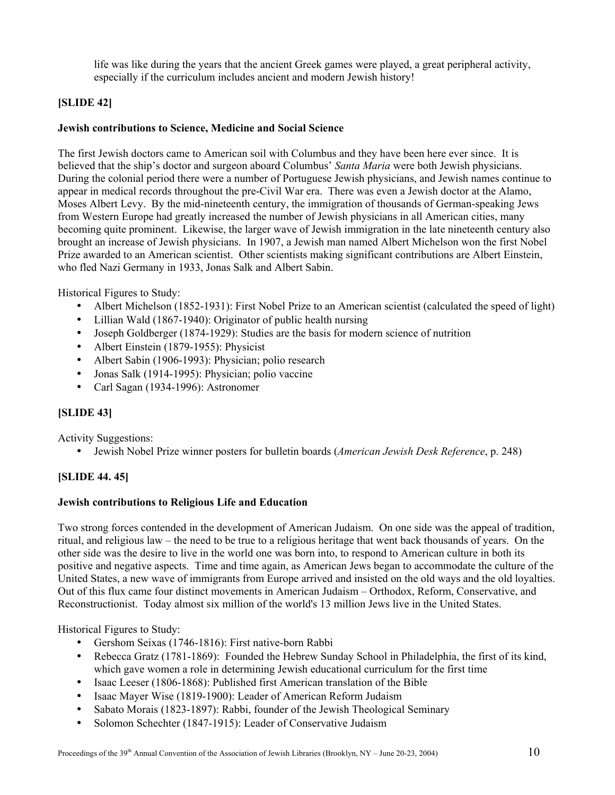life was like during the years that the ancient Greek games were played, a great peripheral activity, especially if the curriculum includes ancient and modern Jewish history!

# **[SLIDE 42]**

### **Jewish contributions to Science, Medicine and Social Science**

The first Jewish doctors came to American soil with Columbus and they have been here ever since. It is believed that the ship's doctor and surgeon aboard Columbus' *Santa Maria* were both Jewish physicians. During the colonial period there were a number of Portuguese Jewish physicians, and Jewish names continue to appear in medical records throughout the pre-Civil War era. There was even a Jewish doctor at the Alamo, Moses Albert Levy. By the mid-nineteenth century, the immigration of thousands of German-speaking Jews from Western Europe had greatly increased the number of Jewish physicians in all American cities, many becoming quite prominent. Likewise, the larger wave of Jewish immigration in the late nineteenth century also brought an increase of Jewish physicians. In 1907, a Jewish man named Albert Michelson won the first Nobel Prize awarded to an American scientist. Other scientists making significant contributions are Albert Einstein, who fled Nazi Germany in 1933, Jonas Salk and Albert Sabin.

Historical Figures to Study:

- Albert Michelson (1852-1931): First Nobel Prize to an American scientist (calculated the speed of light)
- Lillian Wald (1867-1940): Originator of public health nursing
- Joseph Goldberger (1874-1929): Studies are the basis for modern science of nutrition
- Albert Einstein (1879-1955): Physicist
- Albert Sabin (1906-1993): Physician; polio research
- Jonas Salk (1914-1995): Physician; polio vaccine
- Carl Sagan (1934-1996): Astronomer

# **[SLIDE 43]**

Activity Suggestions:

• Jewish Nobel Prize winner posters for bulletin boards (*American Jewish Desk Reference*, p. 248)

# **[SLIDE 44. 45]**

### **Jewish contributions to Religious Life and Education**

Two strong forces contended in the development of American Judaism. On one side was the appeal of tradition, ritual, and religious law – the need to be true to a religious heritage that went back thousands of years. On the other side was the desire to live in the world one was born into, to respond to American culture in both its positive and negative aspects. Time and time again, as American Jews began to accommodate the culture of the United States, a new wave of immigrants from Europe arrived and insisted on the old ways and the old loyalties. Out of this flux came four distinct movements in American Judaism – Orthodox, Reform, Conservative, and Reconstructionist. Today almost six million of the world's 13 million Jews live in the United States.

Historical Figures to Study:

- Gershom Seixas (1746-1816): First native-born Rabbi
- Rebecca Gratz (1781-1869): Founded the Hebrew Sunday School in Philadelphia, the first of its kind, which gave women a role in determining Jewish educational curriculum for the first time
- Isaac Leeser (1806-1868): Published first American translation of the Bible
- Isaac Mayer Wise (1819-1900): Leader of American Reform Judaism
- Sabato Morais (1823-1897): Rabbi, founder of the Jewish Theological Seminary
- Solomon Schechter (1847-1915): Leader of Conservative Judaism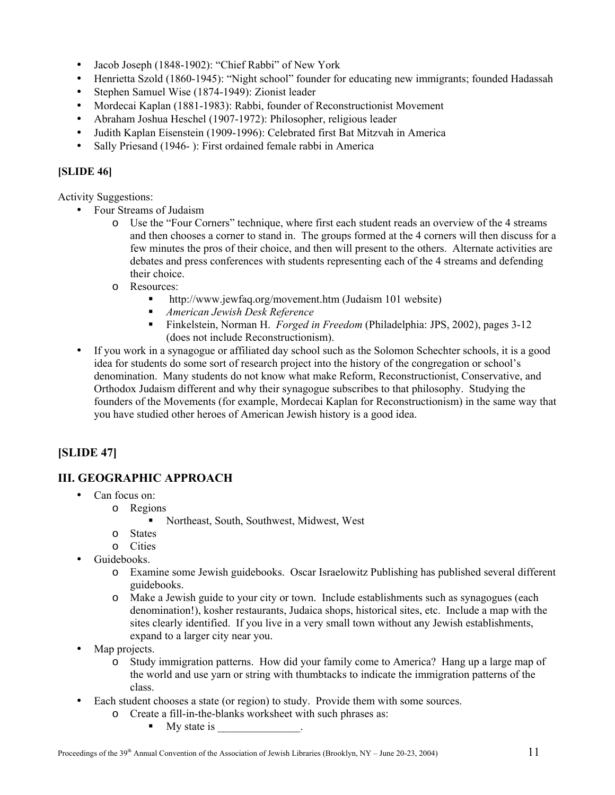- Jacob Joseph (1848-1902): "Chief Rabbi" of New York
- Henrietta Szold (1860-1945): "Night school" founder for educating new immigrants; founded Hadassah
- Stephen Samuel Wise (1874-1949): Zionist leader
- Mordecai Kaplan (1881-1983): Rabbi, founder of Reconstructionist Movement
- Abraham Joshua Heschel (1907-1972): Philosopher, religious leader
- Judith Kaplan Eisenstein (1909-1996): Celebrated first Bat Mitzvah in America
- Sally Priesand (1946- ): First ordained female rabbi in America

# **[SLIDE 46]**

Activity Suggestions:

- Four Streams of Judaism
	- o Use the "Four Corners" technique, where first each student reads an overview of the 4 streams and then chooses a corner to stand in. The groups formed at the 4 corners will then discuss for a few minutes the pros of their choice, and then will present to the others. Alternate activities are debates and press conferences with students representing each of the 4 streams and defending their choice.
	- o Resources:
		- <http://www.jewfaq.org/movement.htm> (Judaism 101 website)
		- *American Jewish Desk Reference*
		- Finkelstein, Norman H. *Forged in Freedom* (Philadelphia: JPS, 2002), pages 3-12 (does not include Reconstructionism).
- If you work in a synagogue or affiliated day school such as the Solomon Schechter schools, it is a good idea for students do some sort of research project into the history of the congregation or school's denomination. Many students do not know what make Reform, Reconstructionist, Conservative, and Orthodox Judaism different and why their synagogue subscribes to that philosophy. Studying the founders of the Movements (for example, Mordecai Kaplan for Reconstructionism) in the same way that you have studied other heroes of American Jewish history is a good idea.

# **[SLIDE 47]**

# **III. GEOGRAPHIC APPROACH**

- Can focus on:
	- o Regions
		- Northeast, South, Southwest, Midwest, West
	- o States
	- o Cities
- Guidebooks.
	- o Examine some Jewish guidebooks. Oscar Israelowitz Publishing has published several different guidebooks.
	- o Make a Jewish guide to your city or town. Include establishments such as synagogues (each denomination!), kosher restaurants, Judaica shops, historical sites, etc. Include a map with the sites clearly identified. If you live in a very small town without any Jewish establishments, expand to a larger city near you.
- Map projects.
	- o Study immigration patterns. How did your family come to America? Hang up a large map of the world and use yarn or string with thumbtacks to indicate the immigration patterns of the class.
- Each student chooses a state (or region) to study. Provide them with some sources.
	- o Create a fill-in-the-blanks worksheet with such phrases as:
		- $\blacksquare$  My state is